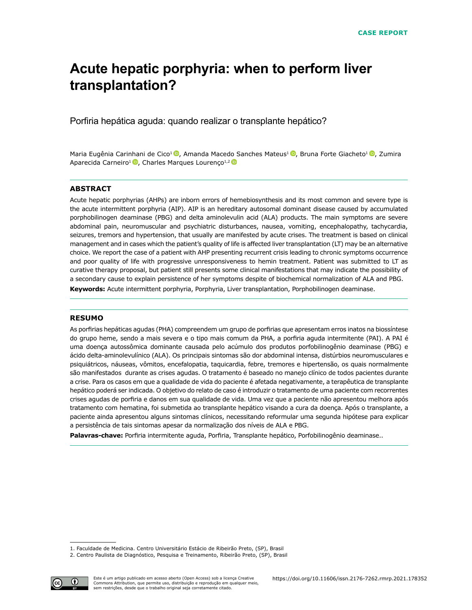# **Acute hepatic porphyria: when to perform liver transplantation?**

Porfiria hepática aguda: quando realizar o transplante hepático?

Maria Eugênia Carinhani de Cico<sup>1</sup> <sup>(D</sup>, Amanda Macedo Sanches Mateus<sup>1 (D</sup>, Bruna Forte Giacheto<sup>1 (D</sup>, Zumira Aparecida Carneiro<sup>1</sup><sup>0</sup>, Charles Marques Lourenço<sup>1,2</sup><sup>0</sup>

#### **ABSTRACT**

Acute hepatic porphyrias (AHPs) are inborn errors of hemebiosynthesis and its most common and severe type is the acute intermittent porphyria (AIP). AIP is an hereditary autosomal dominant disease caused by accumulated porphobilinogen deaminase (PBG) and delta aminolevulin acid (ALA) products. The main symptoms are severe abdominal pain, neuromuscular and psychiatric disturbances, nausea, vomiting, encephalopathy, tachycardia, seizures, tremors and hypertension, that usually are manifested by acute crises. The treatment is based on clinical management and in cases which the patient's quality of life is affected liver transplantation (LT) may be an alternative choice. We report the case of a patient with AHP presenting recurrent crisis leading to chronic symptoms occurrence and poor quality of life with progressive unresponsiveness to hemin treatment. Patient was submitted to LT as curative therapy proposal, but patient still presents some clinical manifestations that may indicate the possibility of a secondary cause to explain persistence of her symptoms despite of biochemical normalization of ALA and PBG. Keywords: Acute intermittent porphyria, Porphyria, Liver transplantation, Porphobilinogen deaminase.

#### **RESUMO**

As porfirias hepáticas agudas (PHA) compreendem um grupo de porfirias que apresentam erros inatos na biossíntese do grupo heme, sendo a mais severa e o tipo mais comum da PHA, a porfiria aguda intermitente (PAI). A PAI é uma doença autossômica dominante causada pelo acúmulo dos produtos porfobilinogênio deaminase (PBG) e ácido delta-aminolevulínico (ALA). Os principais sintomas são dor abdominal intensa, distúrbios neuromusculares e psiquiátricos, náuseas, vômitos, encefalopatia, taquicardia, febre, tremores e hipertensão, os quais normalmente são manifestados durante as crises agudas. O tratamento é baseado no manejo clínico de todos pacientes durante a crise. Para os casos em que a qualidade de vida do paciente é afetada negativamente, a terapêutica de transplante hepático poderá ser indicada. O objetivo do relato de caso é introduzir o tratamento de uma paciente com recorrentes crises agudas de porfiria e danos em sua qualidade de vida. Uma vez que a paciente não apresentou melhora após tratamento com hematina, foi submetida ao transplante hepático visando a cura da doença. Após o transplante, a paciente ainda apresentou alguns sintomas clínicos, necessitando reformular uma segunda hipótese para explicar a persistência de tais sintomas apesar da normalização dos níveis de ALA e PBG.

**Palavras-chave:** Porfiria intermitente aguda, Porfiria, Transplante hepático, Porfobilinogênio deaminase..

<sup>2.</sup> Centro Paulista de Diagnóstico, Pesquisa e Treinamento, Ribeirão Preto, (SP), Brasil



<sup>1.</sup> Faculdade de Medicina. Centro Universitário Estácio de Ribeirão Preto, (SP), Brasil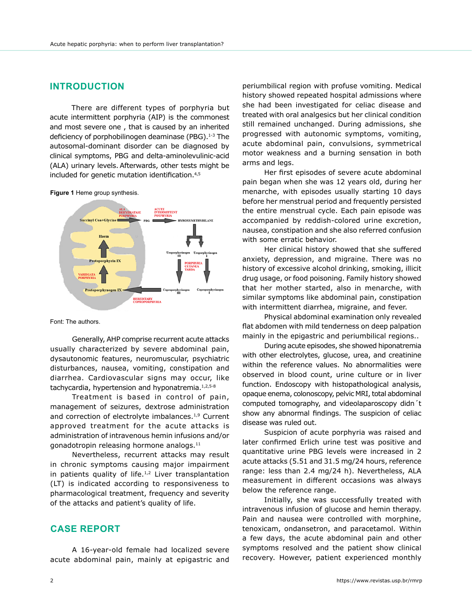## **INTRODUCTION**

There are different types of porphyria but acute intermittent porphyria (AIP) is the commonest and most severe one , that is caused by an inherited deficiency of porphobilinogen deaminase (PBG).<sup>1-3</sup> The autosomal-dominant disorder can be diagnosed by clinical symptoms, PBG and delta-aminolevulinic-acid (ALA) urinary levels. Afterwards, other tests might be included for genetic mutation identification.4,5

**Figure 1** Heme group synthesis.



Font: The authors.

Generally, AHP comprise recurrent acute attacks usually characterized by severe abdominal pain, dysautonomic features, neuromuscular, psychiatric disturbances, nausea, vomiting, constipation and diarrhea. Cardiovascular signs may occur, like tachycardia, hypertension and hyponatremia.<sup>1,2,5-8</sup>

Treatment is based in control of pain, management of seizures, dextrose administration and correction of electrolyte imbalances.<sup>1,9</sup> Current approved treatment for the acute attacks is administration of intravenous hemin infusions and/or gonadotropin releasing hormone analogs.<sup>11</sup>

Nevertheless, recurrent attacks may result in chronic symptoms causing major impairment in patients quality of life. $1,2$  Liver transplantation (LT) is indicated according to responsiveness to pharmacological treatment, frequency and severity of the attacks and patient's quality of life.

#### **CASE REPORT**

A 16-year-old female had localized severe acute abdominal pain, mainly at epigastric and periumbilical region with profuse vomiting. Medical history showed repeated hospital admissions where she had been investigated for celiac disease and treated with oral analgesics but her clinical condition still remained unchanged. During admissions, she progressed with autonomic symptoms, vomiting, acute abdominal pain, convulsions, symmetrical motor weakness and a burning sensation in both arms and legs.

Her first episodes of severe acute abdominal pain began when she was 12 years old, during her menarche, with episodes usually starting 10 days before her menstrual period and frequently persisted the entire menstrual cycle. Each pain episode was accompanied by reddish-colored urine excretion, nausea, constipation and she also referred confusion with some erratic behavior.

Her clinical history showed that she suffered anxiety, depression, and migraine. There was no history of excessive alcohol drinking, smoking, illicit drug usage, or food poisoning. Family history showed that her mother started, also in menarche, with similar symptoms like abdominal pain, constipation with intermittent diarrhea, migraine, and fever.

Physical abdominal examination only revealed flat abdomen with mild tenderness on deep palpation mainly in the epigastric and periumbilical regions..

During acute episodes, she showed hiponatremia with other electrolytes, glucose, urea, and creatinine within the reference values. No abnormalities were observed in blood count, urine culture or in liver function. Endoscopy with histopathological analysis, opaque enema, colonoscopy, pelvic MRI, total abdominal computed tomography, and videolaparoscopy didn´t show any abnormal findings. The suspicion of celiac disease was ruled out.

Suspicion of acute porphyria was raised and later confirmed Erlich urine test was positive and quantitative urine PBG levels were increased in 2 acute attacks (5.51 and 31.5 mg/24 hours, reference range: less than 2.4 mg/24 h). Nevertheless, ALA measurement in different occasions was always below the reference range.

Initially, she was successfully treated with intravenous infusion of glucose and hemin therapy. Pain and nausea were controlled with morphine, tenoxicam, ondansetron, and paracetamol. Within a few days, the acute abdominal pain and other symptoms resolved and the patient show clinical recovery. However, patient experienced monthly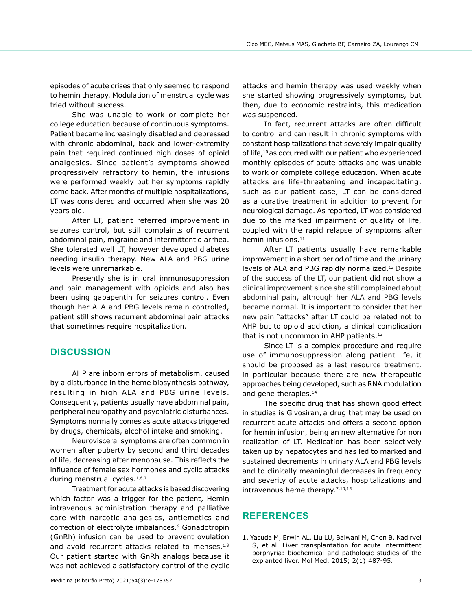episodes of acute crises that only seemed to respond to hemin therapy. Modulation of menstrual cycle was tried without success.

She was unable to work or complete her college education because of continuous symptoms. Patient became increasingly disabled and depressed with chronic abdominal, back and lower-extremity pain that required continued high doses of opioid analgesics. Since patient's symptoms showed progressively refractory to hemin, the infusions were performed weekly but her symptoms rapidly come back. After months of multiple hospitalizations, LT was considered and occurred when she was 20 years old.

After LT, patient referred improvement in seizures control, but still complaints of recurrent abdominal pain, migraine and intermittent diarrhea. She tolerated well LT, however developed diabetes needing insulin therapy. New ALA and PBG urine levels were unremarkable.

Presently she is in oral immunosuppression and pain management with opioids and also has been using gabapentin for seizures control. Even though her ALA and PBG levels remain controlled, patient still shows recurrent abdominal pain attacks that sometimes require hospitalization.

### **DISCUSSION**

AHP are inborn errors of metabolism, caused by a disturbance in the heme biosynthesis pathway, resulting in high ALA and PBG urine levels. Consequently, patients usually have abdominal pain, peripheral neuropathy and psychiatric disturbances. Symptoms normally comes as acute attacks triggered by drugs, chemicals, alcohol intake and smoking.

Neurovisceral symptoms are often common in women after puberty by second and third decades of life, decreasing after menopause. This reflects the influence of female sex hormones and cyclic attacks during menstrual cycles.<sup>1,6,7</sup>

Treatment for acute attacks is based discovering which factor was a trigger for the patient, Hemin intravenous administration therapy and palliative care with narcotic analgesics, antiemetics and correction of electrolyte imbalances.<sup>9</sup> Gonadotropin (GnRh) infusion can be used to prevent ovulation and avoid recurrent attacks related to menses. $1,9$ Our patient started with GnRh analogs because it was not achieved a satisfactory control of the cyclic attacks and hemin therapy was used weekly when she started showing progressively symptoms, but then, due to economic restraints, this medication was suspended.

In fact, recurrent attacks are often difficult to control and can result in chronic symptoms with constant hospitalizations that severely impair quality of life,<sup>10</sup> as occurred with our patient who experienced monthly episodes of acute attacks and was unable to work or complete college education. When acute attacks are life-threatening and incapacitating, such as our patient case, LT can be considered as a curative treatment in addition to prevent for neurological damage. As reported, LT was considered due to the marked impairment of quality of life, coupled with the rapid relapse of symptoms after hemin infusions.<sup>11</sup>

After LT patients usually have remarkable improvement in a short period of time and the urinary levels of ALA and PBG rapidly normalized.12 Despite of the success of the LT, our patient did not show a clinical improvement since she still complained about abdominal pain, although her ALA and PBG levels became normal. It is important to consider that her new pain "attacks" after LT could be related not to AHP but to opioid addiction, a clinical complication that is not uncommon in AHP patients.<sup>13</sup>

Since LT is a complex procedure and require use of immunosuppression along patient life, it should be proposed as a last resource treatment, in particular because there are new therapeutic approaches being developed, such as RNA modulation and gene therapies.<sup>14</sup>

The specific drug that has shown good effect in studies is Givosiran, a drug that may be used on recurrent acute attacks and offers a second option for hemin infusion, being an new alternative for non realization of LT. Medication has been selectively taken up by hepatocytes and has led to marked and sustained decrements in urinary ALA and PBG levels and to clinically meaningful decreases in frequency and severity of acute attacks, hospitalizations and intravenous heme therapy.<sup>7,10,15</sup>

#### **REFERENCES**

1. Yasuda M, Erwin AL, Liu LU, Balwani M, Chen B, Kadirvel S, et al. Liver transplantation for acute intermittent porphyria: biochemical and pathologic studies of the explanted liver. Mol Med. 2015; 2(1):487-95.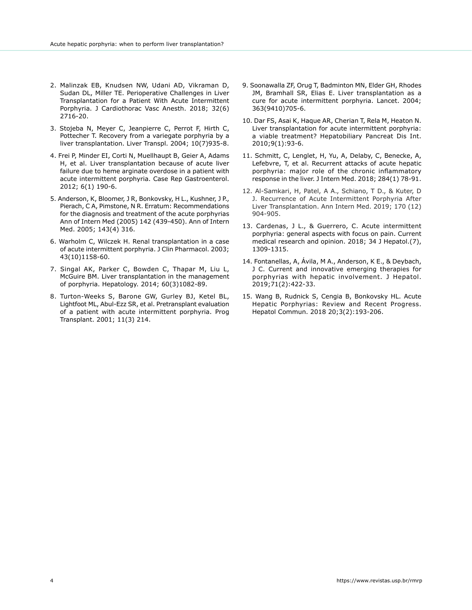- 2. Malinzak EB, Knudsen NW, Udani AD, Vikraman D, Sudan DL, Miller TE. Perioperative Challenges in Liver Transplantation for a Patient With Acute Intermittent Porphyria. J Cardiothorac Vasc Anesth. 2018; 32(6) 2716-20.
- 3. Stojeba N, Meyer C, Jeanpierre C, Perrot F, Hirth C, Pottecher T. Recovery from a variegate porphyria by a liver transplantation. Liver Transpl. 2004; 10(7)935-8.
- 4. Frei P, Minder EI, Corti N, Muellhaupt B, Geier A, Adams H, et al. Liver transplantation because of acute liver failure due to heme arginate overdose in a patient with acute intermittent porphyria. Case Rep Gastroenterol. 2012; 6(1) 190-6.
- 5. Anderson, K, Bloomer, J R, Bonkovsky, H L., Kushner, J P., Pierach, C A, Pimstone, N R. Erratum: Recommendations for the diagnosis and treatment of the acute porphyrias Ann of Intern Med (2005) 142 (439-450). Ann of Intern Med. 2005; 143(4) 316.
- 6. Warholm C, Wilczek H. Renal transplantation in a case of acute intermittent porphyria. J Clin Pharmacol. 2003; 43(10)1158-60.
- 7. Singal AK, Parker C, Bowden C, Thapar M, Liu L, McGuire BM. Liver transplantation in the management of porphyria. Hepatology. 2014; 60(3)1082-89.
- 8. Turton-Weeks S, Barone GW, Gurley BJ, Ketel BL, Lightfoot ML, Abul-Ezz SR, et al. Pretransplant evaluation of a patient with acute intermittent porphyria. Prog Transplant. 2001; 11(3) 214.
- 9. Soonawalla ZF, Orug T, Badminton MN, Elder GH, Rhodes JM, Bramhall SR, Elias E. Liver transplantation as a cure for acute intermittent porphyria. Lancet. 2004; 363(9410)705-6.
- 10. Dar FS, Asai K, Haque AR, Cherian T, Rela M, Heaton N. Liver transplantation for acute intermittent porphyria: a viable treatment? Hepatobiliary Pancreat Dis Int. 2010;9(1):93-6.
- 11. Schmitt, C, Lenglet, H, Yu, A, Delaby, C, Benecke, A, Lefebvre, T, et al. Recurrent attacks of acute hepatic porphyria: major role of the chronic inflammatory response in the liver. J Intern Med. 2018; 284(1) 78-91.
- 12. Al-Samkari, H, Patel, A A., Schiano, T D., & Kuter, D J. Recurrence of Acute Intermittent Porphyria After Liver Transplantation. Ann Intern Med. 2019; 170 (12) 904-905.
- 13. Cardenas, J L., & Guerrero, C. Acute intermittent porphyria: general aspects with focus on pain. Current medical research and opinion. 2018; 34 J Hepatol.(7), 1309-1315.
- 14. Fontanellas, A, Ávila, M A., Anderson, K E., & Deybach, J C. Current and innovative emerging therapies for porphyrias with hepatic involvement. J Hepatol. 2019;71(2):422-33.
- 15. Wang B, Rudnick S, Cengia B, Bonkovsky HL. Acute Hepatic Porphyrias: Review and Recent Progress. Hepatol Commun. 2018 20;3(2):193-206.